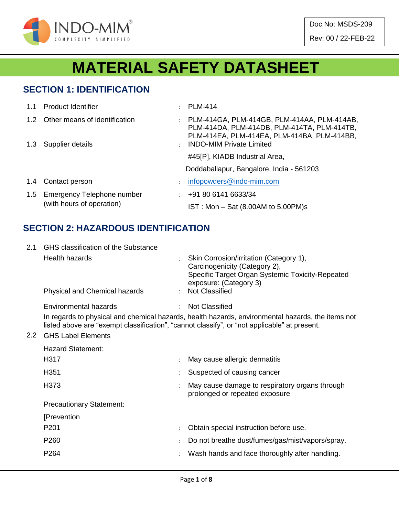

# **MATERIAL SAFETY DATASHEET**

#### **SECTION 1: IDENTIFICATION**

| 1.1           | <b>Product Identifier</b>                                   | ٠                    | <b>PLM-414</b>                                                                                                                            |
|---------------|-------------------------------------------------------------|----------------------|-------------------------------------------------------------------------------------------------------------------------------------------|
| $1.2^{\circ}$ | Other means of identification                               | ÷                    | PLM-414GA, PLM-414GB, PLM-414AA, PLM-414AB,<br>PLM-414DA, PLM-414DB, PLM-414TA, PLM-414TB,<br>PLM-414EA, PLM-414EA, PLM-414BA, PLM-414BB, |
|               | 1.3 Supplier details                                        | $\ddot{\phantom{a}}$ | <b>INDO-MIM Private Limited</b>                                                                                                           |
|               |                                                             |                      | #45[P], KIADB Industrial Area,                                                                                                            |
|               |                                                             |                      | Doddaballapur, Bangalore, India - 561203                                                                                                  |
| 1.4           | Contact person                                              | $\ddot{\phantom{a}}$ | infopowders@indo-mim.com                                                                                                                  |
|               | 1.5 Emergency Telephone number<br>(with hours of operation) | $\mathcal{L}$        | +91 80 6141 6633/34                                                                                                                       |
|               |                                                             |                      | IST: Mon - Sat (8.00AM to 5.00PM)s                                                                                                        |

#### **SECTION 2: HAZARDOUS IDENTIFICATION**

| 2.1 | <b>GHS</b> classification of the Substance |  |                                                                                                                                                                                                   |  |  |  |  |  |
|-----|--------------------------------------------|--|---------------------------------------------------------------------------------------------------------------------------------------------------------------------------------------------------|--|--|--|--|--|
|     | <b>Health hazards</b>                      |  | Skin Corrosion/irritation (Category 1),<br>Carcinogenicity (Category 2),<br>Specific Target Organ Systemic Toxicity-Repeated<br>exposure: (Category 3)                                            |  |  |  |  |  |
|     | Physical and Chemical hazards              |  | : Not Classified                                                                                                                                                                                  |  |  |  |  |  |
|     | Environmental hazards                      |  | <b>Not Classified</b>                                                                                                                                                                             |  |  |  |  |  |
|     |                                            |  | In regards to physical and chemical hazards, health hazards, environmental hazards, the items not<br>listed above are "exempt classification", "cannot classify", or "not applicable" at present. |  |  |  |  |  |
| 2.2 | <b>GHS Label Elements</b>                  |  |                                                                                                                                                                                                   |  |  |  |  |  |
|     | <b>Hazard Statement:</b>                   |  |                                                                                                                                                                                                   |  |  |  |  |  |
|     | H317                                       |  | May cause allergic dermatitis                                                                                                                                                                     |  |  |  |  |  |
|     | H351                                       |  | Suspected of causing cancer                                                                                                                                                                       |  |  |  |  |  |
|     | H373                                       |  | May cause damage to respiratory organs through<br>prolonged or repeated exposure                                                                                                                  |  |  |  |  |  |
|     | <b>Precautionary Statement:</b>            |  |                                                                                                                                                                                                   |  |  |  |  |  |
|     | [Prevention                                |  |                                                                                                                                                                                                   |  |  |  |  |  |
|     | P <sub>201</sub>                           |  | Obtain special instruction before use.                                                                                                                                                            |  |  |  |  |  |
|     | P260                                       |  | Do not breathe dust/fumes/gas/mist/vapors/spray.                                                                                                                                                  |  |  |  |  |  |
|     | P264                                       |  | Wash hands and face thoroughly after handling.                                                                                                                                                    |  |  |  |  |  |
|     |                                            |  |                                                                                                                                                                                                   |  |  |  |  |  |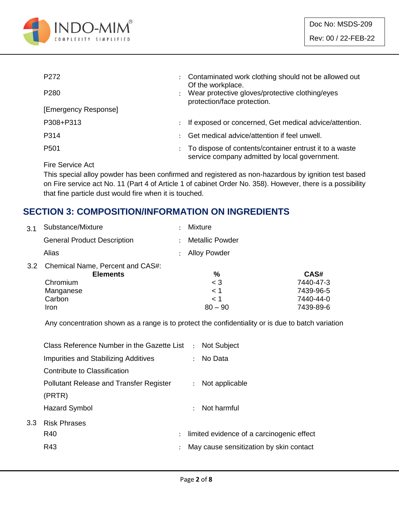

| P <sub>272</sub>     | $\ddot{\phantom{0}}$ | Contaminated work clothing should not be allowed out<br>Of the workplace.                               |
|----------------------|----------------------|---------------------------------------------------------------------------------------------------------|
| P <sub>280</sub>     |                      | Wear protective gloves/protective clothing/eyes<br>protection/face protection.                          |
| [Emergency Response] |                      |                                                                                                         |
| P308+P313            | $\ddot{\phantom{0}}$ | If exposed or concerned, Get medical advice/attention.                                                  |
| P314                 |                      | Get medical advice/attention if feel unwell.                                                            |
| P <sub>501</sub>     |                      | To dispose of contents/container entrust it to a waste<br>service company admitted by local government. |
|                      |                      |                                                                                                         |

Fire Service Act

This special alloy powder has been confirmed and registered as non-hazardous by ignition test based on Fire service act No. 11 (Part 4 of Article 1 of cabinet Order No. 358). However, there is a possibility that fine particle dust would fire when it is touched.

#### **SECTION 3: COMPOSITION/INFORMATION ON INGREDIENTS**

| 3.1 | Substance/Mixture                                       | ٠ | <b>Mixture</b>         |           |
|-----|---------------------------------------------------------|---|------------------------|-----------|
|     | <b>General Product Description</b>                      |   | <b>Metallic Powder</b> |           |
|     | Alias                                                   |   | <b>Alloy Powder</b>    |           |
|     | 3.2 Chemical Name, Percent and CAS#:<br><b>Elements</b> |   | %                      | CAS#      |
|     | Chromium                                                |   | $<$ 3                  | 7440-47-3 |
|     | Manganese                                               |   | $<$ 1                  | 7439-96-5 |
|     | Carbon                                                  |   | < 1                    | 7440-44-0 |
|     | Iron                                                    |   | $80 - 90$              | 7439-89-6 |

Any concentration shown as a range is to protect the confidentiality or is due to batch variation

|     | Class Reference Number in the Gazette List :   |                |                      | <b>Not Subject</b>                        |
|-----|------------------------------------------------|----------------|----------------------|-------------------------------------------|
|     | Impurities and Stabilizing Additives           |                | $\ddot{\phantom{a}}$ | No Data                                   |
|     | Contribute to Classification                   |                |                      |                                           |
|     | <b>Pollutant Release and Transfer Register</b> |                | $\ddot{\phantom{0}}$ | Not applicable                            |
|     | (PRTR)                                         |                |                      |                                           |
|     | <b>Hazard Symbol</b>                           |                | $\bullet$ .          | Not harmful                               |
| 3.3 | <b>Risk Phrases</b>                            |                |                      |                                           |
|     | R40                                            | $\mathcal{L}$  |                      | limited evidence of a carcinogenic effect |
|     | R43                                            | $\ddot{\cdot}$ |                      | May cause sensitization by skin contact   |
|     |                                                |                |                      |                                           |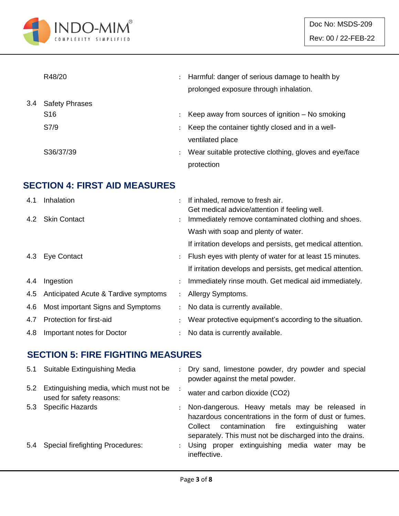

|     | R48/20                | $\ddot{\phantom{a}}$ | Harmful: danger of serious damage to health by<br>prolonged exposure through inhalation. |
|-----|-----------------------|----------------------|------------------------------------------------------------------------------------------|
| 3.4 | <b>Safety Phrases</b> |                      |                                                                                          |
|     | S <sub>16</sub>       |                      | Keep away from sources of ignition $-$ No smoking                                        |
|     | S7/9                  | ÷                    | Keep the container tightly closed and in a well-                                         |
|     |                       |                      | ventilated place                                                                         |
|     | S36/37/39             | $\ddot{\phantom{a}}$ | Wear suitable protective clothing, gloves and eye/face                                   |
|     |                       |                      | protection                                                                               |

### **SECTION 4: FIRST AID MEASURES**

| 4.1 | Inhalation                           |                      | If inhaled, remove to fresh air.<br>Get medical advice/attention if feeling well. |
|-----|--------------------------------------|----------------------|-----------------------------------------------------------------------------------|
|     | 4.2 Skin Contact                     | $\ddot{\phantom{0}}$ | Immediately remove contaminated clothing and shoes.                               |
|     |                                      |                      | Wash with soap and plenty of water.                                               |
|     |                                      |                      | If irritation develops and persists, get medical attention.                       |
|     | 4.3 Eye Contact                      | $\mathcal{L}$        | Flush eyes with plenty of water for at least 15 minutes.                          |
|     |                                      |                      | If irritation develops and persists, get medical attention.                       |
| 4.4 | Ingestion                            |                      | Immediately rinse mouth. Get medical aid immediately.                             |
| 4.5 | Anticipated Acute & Tardive symptoms | $\mathcal{L}$        | Allergy Symptoms.                                                                 |
| 4.6 | Most important Signs and Symptoms    | $\mathcal{L}$        | No data is currently available.                                                   |
| 4.7 | Protection for first-aid             |                      | Wear protective equipment's according to the situation.                           |
| 4.8 | Important notes for Doctor           |                      | No data is currently available.                                                   |

#### **SECTION 5: FIRE FIGHTING MEASURES**

|     | 5.1 Suitable Extinguishing Media                                       | $\mathcal{L}$ | Dry sand, limestone powder, dry powder and special<br>powder against the metal powder.                                                                                                                                         |
|-----|------------------------------------------------------------------------|---------------|--------------------------------------------------------------------------------------------------------------------------------------------------------------------------------------------------------------------------------|
|     | 5.2 Extinguishing media, which must not be<br>used for safety reasons: |               | water and carbon dioxide (CO2)                                                                                                                                                                                                 |
|     | 5.3 Specific Hazards                                                   |               | : Non-dangerous. Heavy metals may be released in<br>hazardous concentrations in the form of dust or fumes.<br>contamination fire extinguishing<br>Collect<br>water<br>separately. This must not be discharged into the drains. |
| 5.4 | <b>Special firefighting Procedures:</b>                                |               | : Using proper extinguishing media water may be<br>ineffective.                                                                                                                                                                |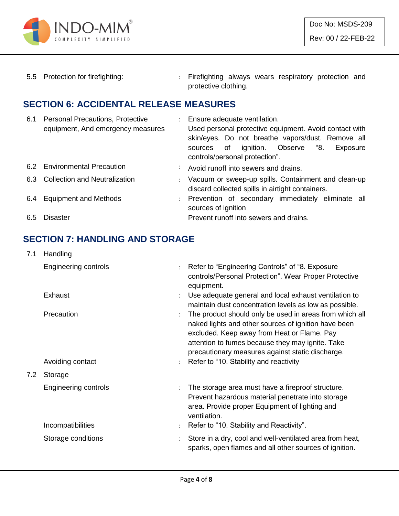

5.5 Protection for firefighting: : Firefighting always wears respiratory protection and protective clothing.

#### **SECTION 6: ACCIDENTAL RELEASE MEASURES**

| 6.1 | <b>Personal Precautions, Protective</b><br>equipment, And emergency measures | : Ensure adequate ventilation.<br>Used personal protective equipment. Avoid contact with<br>skin/eyes. Do not breathe vapors/dust. Remove all<br>ignition. Observe "8.<br>sources of<br>Exposure<br>controls/personal protection". |
|-----|------------------------------------------------------------------------------|------------------------------------------------------------------------------------------------------------------------------------------------------------------------------------------------------------------------------------|
|     | 6.2 Environmental Precaution                                                 | : Avoid runoff into sewers and drains.                                                                                                                                                                                             |
|     | 6.3 Collection and Neutralization                                            | : Vacuum or sweep-up spills. Containment and clean-up<br>discard collected spills in airtight containers.                                                                                                                          |
|     | 6.4 Equipment and Methods                                                    | : Prevention of secondary immediately eliminate all<br>sources of ignition                                                                                                                                                         |
| 6.5 | Disaster                                                                     | Prevent runoff into sewers and drains.                                                                                                                                                                                             |

### **SECTION 7: HANDLING AND STORAGE**

| 7.1 | Handling                    |                                                                                                                                                                                                                                                                        |
|-----|-----------------------------|------------------------------------------------------------------------------------------------------------------------------------------------------------------------------------------------------------------------------------------------------------------------|
|     | Engineering controls        | : Refer to "Engineering Controls" of "8. Exposure<br>controls/Personal Protection". Wear Proper Protective<br>equipment.                                                                                                                                               |
|     | Exhaust                     | Use adequate general and local exhaust ventilation to<br>maintain dust concentration levels as low as possible.                                                                                                                                                        |
|     | Precaution                  | The product should only be used in areas from which all<br>naked lights and other sources of ignition have been<br>excluded. Keep away from Heat or Flame. Pay<br>attention to fumes because they may ignite. Take<br>precautionary measures against static discharge. |
|     | Avoiding contact            | : Refer to "10. Stability and reactivity                                                                                                                                                                                                                               |
| 7.2 | Storage                     |                                                                                                                                                                                                                                                                        |
|     | <b>Engineering controls</b> | The storage area must have a fireproof structure.<br>Prevent hazardous material penetrate into storage<br>area. Provide proper Equipment of lighting and<br>ventilation.                                                                                               |
|     | Incompatibilities           | Refer to "10. Stability and Reactivity".                                                                                                                                                                                                                               |
|     | Storage conditions          | Store in a dry, cool and well-ventilated area from heat,<br>sparks, open flames and all other sources of ignition.                                                                                                                                                     |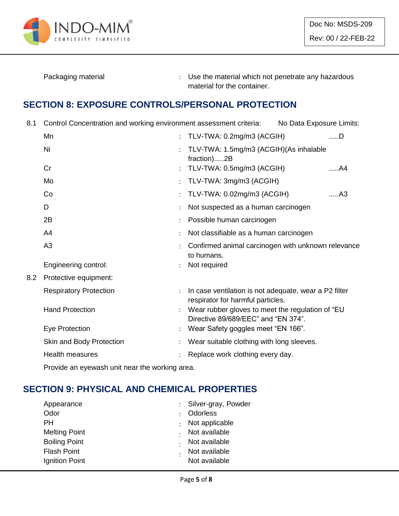

Packaging material **Packaging material in the material which not penetrate any hazardous** material for the container.

#### **SECTION 8: EXPOSURE CONTROLS/PERSONAL PROTECTION**

8.1 Control Concentration and working environment assessment criteria: No Data Exposure Limits:

|     | Mn                            | $\ddot{\cdot}$       | TLV-TWA: 0.2mg/m3 (ACGIH)                                                                  | $$ D           |
|-----|-------------------------------|----------------------|--------------------------------------------------------------------------------------------|----------------|
|     | Ni                            |                      | TLV-TWA: 1.5mg/m3 (ACGIH)(As inhalable<br>fraction)2B                                      |                |
|     | Cr                            |                      | TLV-TWA: 0.5mg/m3 (ACGIH)                                                                  | A4             |
|     | Mo                            | $\ddot{\cdot}$       | TLV-TWA: 3mg/m3 (ACGIH)                                                                    |                |
|     | Co                            |                      | TLV-TWA: 0.02mg/m3 (ACGIH)                                                                 | A <sub>3</sub> |
|     | D                             |                      | Not suspected as a human carcinogen                                                        |                |
|     | 2B                            |                      | Possible human carcinogen                                                                  |                |
|     | A4                            |                      | Not classifiable as a human carcinogen                                                     |                |
|     | A <sub>3</sub>                |                      | Confirmed animal carcinogen with unknown relevance<br>to humans.                           |                |
|     | Engineering control:          |                      | Not required                                                                               |                |
| 8.2 | Protective equipment:         |                      |                                                                                            |                |
|     | <b>Respiratory Protection</b> |                      | In case ventilation is not adequate, wear a P2 filter<br>respirator for harmful particles. |                |
|     | <b>Hand Protection</b>        |                      | Wear rubber gloves to meet the regulation of "EU<br>Directive 89/689/EEC" and "EN 374".    |                |
|     | Eye Protection                | $\ddot{\phantom{a}}$ | Wear Safety goggles meet "EN 166".                                                         |                |
|     | Skin and Body Protection      |                      | Wear suitable clothing with long sleeves.                                                  |                |
|     | Health measures               |                      | Replace work clothing every day.                                                           |                |
|     |                               |                      |                                                                                            |                |

Provide an eyewash unit near the working area.

# **SECTION 9: PHYSICAL AND CHEMICAL PROPERTIES**

| Appearance           | : Silver-gray, Powder |
|----------------------|-----------------------|
| Odor                 | Odorless              |
| PН                   | Not applicable        |
| <b>Melting Point</b> | Not available         |
| <b>Boiling Point</b> | Not available         |
| <b>Flash Point</b>   | Not available         |
| Ignition Point       | Not available         |
|                      |                       |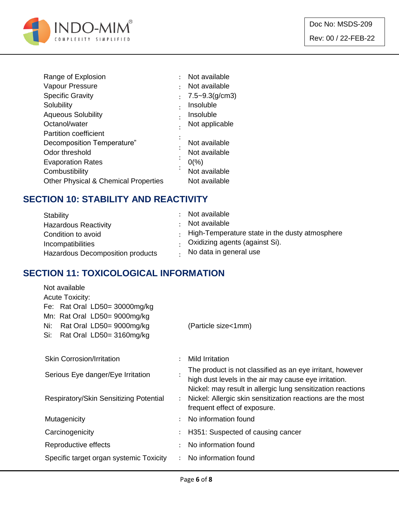

|           | Not available      |
|-----------|--------------------|
| ٠         | Not available      |
|           | $7.5 - 9.3(g/cm3)$ |
| $\bullet$ | Insoluble          |
|           | Insoluble          |
|           | Not applicable     |
|           |                    |
|           | Not available      |
|           | Not available      |
|           | $0\frac{9}{6}$     |
| $\bullet$ | Not available      |
|           | Not available      |
|           |                    |

#### **SECTION 10: STABILITY AND REACTIVITY**

| Stability<br><b>Hazardous Reactivity</b> | : Not available<br>Not available                                                                                     |
|------------------------------------------|----------------------------------------------------------------------------------------------------------------------|
| Condition to avoid<br>Incompatibilities  | $\cdot$ High-Temperature state in the dusty atmosphere<br>. Oxidizing agents (against Si).<br>No data in general use |
| Hazardous Decomposition products         |                                                                                                                      |

#### **SECTION 11: TOXICOLOGICAL INFORMATION**

| Not available                           |                |                                                             |
|-----------------------------------------|----------------|-------------------------------------------------------------|
| <b>Acute Toxicity:</b>                  |                |                                                             |
| Fe: Rat Oral LD50= 30000mg/kg           |                |                                                             |
| Mn: Rat Oral LD50= 9000mg/kg            |                |                                                             |
| Rat Oral LD50= 9000mg/kg<br>Ni:         |                | (Particle size<1mm)                                         |
| Rat Oral LD50= 3160mg/kg<br>Si:         |                |                                                             |
|                                         |                |                                                             |
| <b>Skin Corrosion/Irritation</b>        |                | <b>Mild Irritation</b>                                      |
| Serious Eye danger/Eye Irritation       |                | The product is not classified as an eye irritant, however   |
|                                         |                | high dust levels in the air may cause eye irritation.       |
|                                         |                | Nickel: may result in allergic lung sensitization reactions |
| Respiratory/Skin Sensitizing Potential  | $\ddot{\cdot}$ | Nickel: Allergic skin sensitization reactions are the most  |
|                                         |                | frequent effect of exposure.                                |
| Mutagenicity                            |                | No information found                                        |
| Carcinogenicity                         |                | H351: Suspected of causing cancer                           |
| Reproductive effects                    | $\bullet$      | No information found                                        |
| Specific target organ systemic Toxicity |                | No information found                                        |
|                                         |                |                                                             |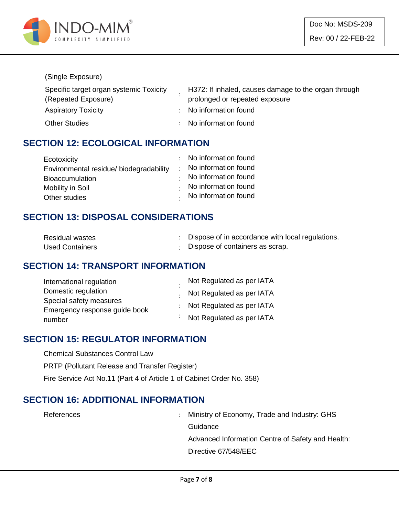

#### (Single Exposure)

| Specific target organ systemic Toxicity | H372: If inhaled, causes damage to the organ through |
|-----------------------------------------|------------------------------------------------------|
| (Repeated Exposure)                     | prolonged or repeated exposure                       |
| <b>Aspiratory Toxicity</b>              | : No information found                               |
| <b>Other Studies</b>                    | : No information found                               |

#### **SECTION 12: ECOLOGICAL INFORMATION**

| Ecotoxicity                             | : No information found |
|-----------------------------------------|------------------------|
| Environmental residue/ biodegradability | : No information found |
| <b>Bioaccumulation</b>                  | No information found   |
| Mobility in Soil                        | No information found   |
| Other studies                           | . No information found |

### **SECTION 13: DISPOSAL CONSIDERATIONS**

| <b>Residual wastes</b> | Dispose of in accordance with local regulations. |
|------------------------|--------------------------------------------------|
| <b>Used Containers</b> | Dispose of containers as scrap.                  |

#### **SECTION 14: TRANSPORT INFORMATION**

| International regulation      | Not Regulated as per IATA         |
|-------------------------------|-----------------------------------|
| Domestic regulation           | . Not Regulated as per IATA       |
| Special safety measures       | : Not Regulated as per IATA       |
| Emergency response guide book |                                   |
| number                        | $\cdot$ Not Regulated as per IATA |

#### **SECTION 15: REGULATOR INFORMATION**

Chemical Substances Control Law

PRTP (Pollutant Release and Transfer Register)

Fire Service Act No.11 (Part 4 of Article 1 of Cabinet Order No. 358)

#### **SECTION 16: ADDITIONAL INFORMATION**

References : Ministry of Economy, Trade and Industry: GHS **Guidance** Advanced Information Centre of Safety and Health: Directive 67/548/EEC